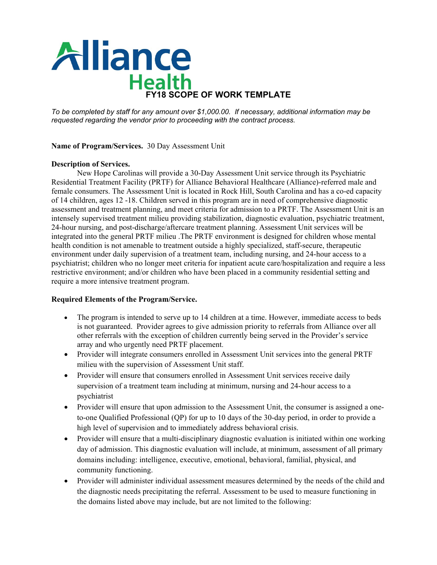

*To be completed by staff for any amount over \$1,000.00. If necessary, additional information may be requested regarding the vendor prior to proceeding with the contract process.*

## **Name of Program/Services.** 30 Day Assessment Unit

### **Description of Services.**

New Hope Carolinas will provide a 30-Day Assessment Unit service through its Psychiatric Residential Treatment Facility (PRTF) for Alliance Behavioral Healthcare (Alliance)-referred male and female consumers. The Assessment Unit is located in Rock Hill, South Carolina and has a co-ed capacity of 14 children, ages 12 -18. Children served in this program are in need of comprehensive diagnostic assessment and treatment planning, and meet criteria for admission to a PRTF. The Assessment Unit is an intensely supervised treatment milieu providing stabilization, diagnostic evaluation, psychiatric treatment, 24-hour nursing, and post-discharge/aftercare treatment planning. Assessment Unit services will be integrated into the general PRTF milieu .The PRTF environment is designed for children whose mental health condition is not amenable to treatment outside a highly specialized, staff-secure, therapeutic environment under daily supervision of a treatment team, including nursing, and 24-hour access to a psychiatrist; children who no longer meet criteria for inpatient acute care/hospitalization and require a less restrictive environment; and/or children who have been placed in a community residential setting and require a more intensive treatment program.

## **Required Elements of the Program/Service.**

- The program is intended to serve up to 14 children at a time. However, immediate access to beds is not guaranteed. Provider agrees to give admission priority to referrals from Alliance over all other referrals with the exception of children currently being served in the Provider's service array and who urgently need PRTF placement.
- Provider will integrate consumers enrolled in Assessment Unit services into the general PRTF milieu with the supervision of Assessment Unit staff.
- Provider will ensure that consumers enrolled in Assessment Unit services receive daily supervision of a treatment team including at minimum, nursing and 24-hour access to a psychiatrist
- Provider will ensure that upon admission to the Assessment Unit, the consumer is assigned a oneto-one Qualified Professional (QP) for up to 10 days of the 30-day period, in order to provide a high level of supervision and to immediately address behavioral crisis.
- Provider will ensure that a multi-disciplinary diagnostic evaluation is initiated within one working day of admission. This diagnostic evaluation will include, at minimum, assessment of all primary domains including: intelligence, executive, emotional, behavioral, familial, physical, and community functioning.
- Provider will administer individual assessment measures determined by the needs of the child and the diagnostic needs precipitating the referral. Assessment to be used to measure functioning in the domains listed above may include, but are not limited to the following: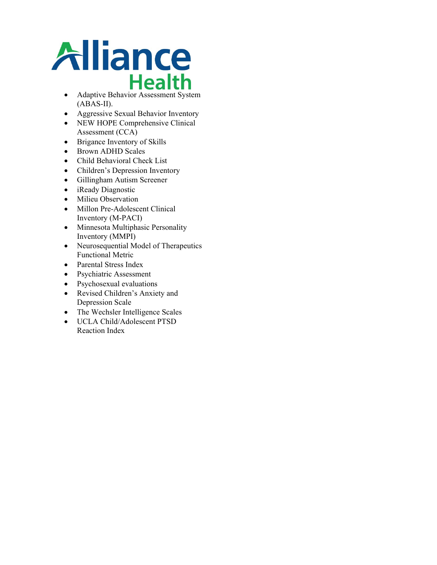

- (ABAS-II).
- Aggressive Sexual Behavior Inventory
- NEW HOPE Comprehensive Clinical Assessment (CCA)
- Brigance Inventory of Skills
- Brown ADHD Scales
- Child Behavioral Check List
- Children's Depression Inventory
- Gillingham Autism Screener
- iReady Diagnostic
- Milieu Observation
- Millon Pre-Adolescent Clinical Inventory (M-PACI)
- Minnesota Multiphasic Personality Inventory (MMPI)
- Neurosequential Model of Therapeutics Functional Metric
- Parental Stress Index
- Psychiatric Assessment
- Psychosexual evaluations
- Revised Children's Anxiety and Depression Scale
- The Wechsler Intelligence Scales
- UCLA Child/Adolescent PTSD Reaction Index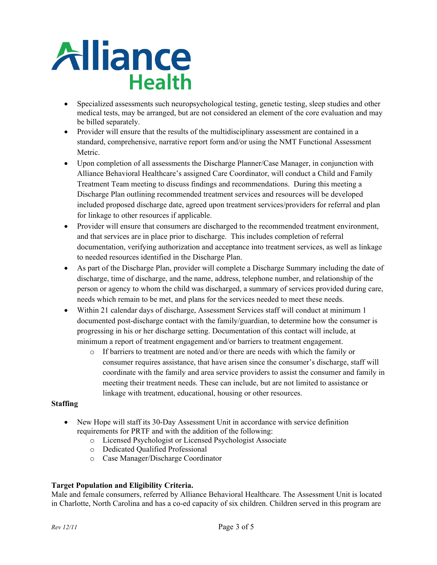

- Specialized assessments such neuropsychological testing, genetic testing, sleep studies and other medical tests, may be arranged, but are not considered an element of the core evaluation and may be billed separately.
- Provider will ensure that the results of the multidisciplinary assessment are contained in a standard, comprehensive, narrative report form and/or using the NMT Functional Assessment Metric.
- Upon completion of all assessments the Discharge Planner/Case Manager, in conjunction with Alliance Behavioral Healthcare's assigned Care Coordinator, will conduct a Child and Family Treatment Team meeting to discuss findings and recommendations. During this meeting a Discharge Plan outlining recommended treatment services and resources will be developed included proposed discharge date, agreed upon treatment services/providers for referral and plan for linkage to other resources if applicable.
- Provider will ensure that consumers are discharged to the recommended treatment environment, and that services are in place prior to discharge. This includes completion of referral documentation, verifying authorization and acceptance into treatment services, as well as linkage to needed resources identified in the Discharge Plan.
- As part of the Discharge Plan, provider will complete a Discharge Summary including the date of discharge, time of discharge, and the name, address, telephone number, and relationship of the person or agency to whom the child was discharged, a summary of services provided during care, needs which remain to be met, and plans for the services needed to meet these needs.
- Within 21 calendar days of discharge, Assessment Services staff will conduct at minimum 1 documented post-discharge contact with the family/guardian, to determine how the consumer is progressing in his or her discharge setting. Documentation of this contact will include, at minimum a report of treatment engagement and/or barriers to treatment engagement.
	- o If barriers to treatment are noted and/or there are needs with which the family or consumer requires assistance, that have arisen since the consumer's discharge, staff will coordinate with the family and area service providers to assist the consumer and family in meeting their treatment needs. These can include, but are not limited to assistance or linkage with treatment, educational, housing or other resources.

## **Staffing**

- New Hope will staff its 30-Day Assessment Unit in accordance with service definition requirements for PRTF and with the addition of the following:
	- o Licensed Psychologist or Licensed Psychologist Associate
	- o Dedicated Qualified Professional
	- o Case Manager/Discharge Coordinator

## **Target Population and Eligibility Criteria.**

Male and female consumers, referred by Alliance Behavioral Healthcare. The Assessment Unit is located in Charlotte, North Carolina and has a co-ed capacity of six children. Children served in this program are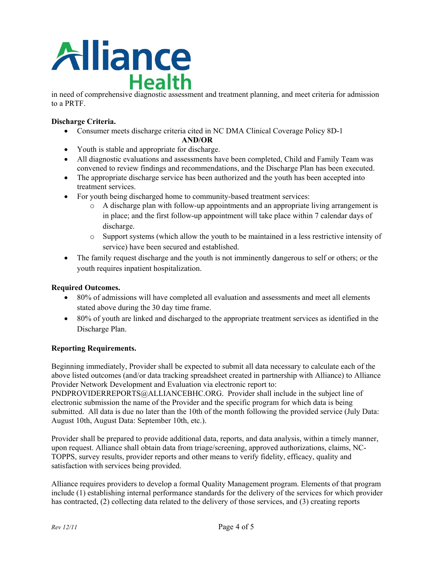

in need of comprehensive diagnostic assessment and treatment planning, and meet criteria for admission to a PRTF.

# **Discharge Criteria.**

- Consumer meets discharge criteria cited in NC DMA Clinical Coverage Policy 8D-1
- **AND/OR** • Youth is stable and appropriate for discharge.
- All diagnostic evaluations and assessments have been completed, Child and Family Team was convened to review findings and recommendations, and the Discharge Plan has been executed.
- The appropriate discharge service has been authorized and the youth has been accepted into treatment services.
- For youth being discharged home to community-based treatment services:
	- o A discharge plan with follow-up appointments and an appropriate living arrangement is in place; and the first follow-up appointment will take place within 7 calendar days of discharge.
	- o Support systems (which allow the youth to be maintained in a less restrictive intensity of service) have been secured and established.
- The family request discharge and the youth is not imminently dangerous to self or others; or the youth requires inpatient hospitalization.

## **Required Outcomes.**

- 80% of admissions will have completed all evaluation and assessments and meet all elements stated above during the 30 day time frame.
- 80% of youth are linked and discharged to the appropriate treatment services as identified in the Discharge Plan.

## **Reporting Requirements.**

Beginning immediately, Provider shall be expected to submit all data necessary to calculate each of the above listed outcomes (and/or data tracking spreadsheet created in partnership with Alliance) to Alliance Provider Network Development and Evaluation via electronic report to:

PNDPROVIDERREPORTS@ALLIANCEBHC.ORG. Provider shall include in the subject line of electronic submission the name of the Provider and the specific program for which data is being submitted. All data is due no later than the 10th of the month following the provided service (July Data: August 10th, August Data: September 10th, etc.).

Provider shall be prepared to provide additional data, reports, and data analysis, within a timely manner, upon request. Alliance shall obtain data from triage/screening, approved authorizations, claims, NC-TOPPS, survey results, provider reports and other means to verify fidelity, efficacy, quality and satisfaction with services being provided.

Alliance requires providers to develop a formal Quality Management program. Elements of that program include (1) establishing internal performance standards for the delivery of the services for which provider has contracted, (2) collecting data related to the delivery of those services, and (3) creating reports